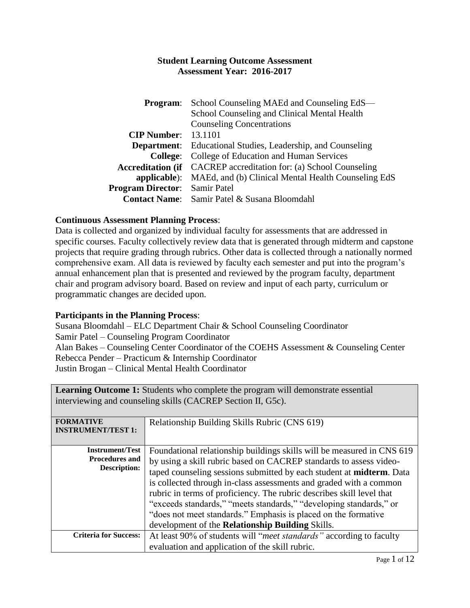|                                      | <b>Program:</b> School Counseling MAEd and Counseling EdS—               |
|--------------------------------------|--------------------------------------------------------------------------|
|                                      | School Counseling and Clinical Mental Health                             |
|                                      | <b>Counseling Concentrations</b>                                         |
| <b>CIP Number:</b> 13.1101           |                                                                          |
|                                      | <b>Department:</b> Educational Studies, Leadership, and Counseling       |
|                                      | <b>College:</b> College of Education and Human Services                  |
|                                      | <b>Accreditation (if</b> CACREP accreditation for: (a) School Counseling |
|                                      | <b>applicable</b> ): MAEd, and (b) Clinical Mental Health Counseling EdS |
| <b>Program Director:</b> Samir Patel |                                                                          |
|                                      | <b>Contact Name:</b> Samir Patel & Susana Bloomdahl                      |

#### **Continuous Assessment Planning Process**:

Data is collected and organized by individual faculty for assessments that are addressed in specific courses. Faculty collectively review data that is generated through midterm and capstone projects that require grading through rubrics. Other data is collected through a nationally normed comprehensive exam. All data is reviewed by faculty each semester and put into the program's annual enhancement plan that is presented and reviewed by the program faculty, department chair and program advisory board. Based on review and input of each party, curriculum or programmatic changes are decided upon.

#### **Participants in the Planning Process**:

Susana Bloomdahl – ELC Department Chair & School Counseling Coordinator Samir Patel – Counseling Program Coordinator Alan Bakes – Counseling Center Coordinator of the COEHS Assessment & Counseling Center Rebecca Pender – Practicum & Internship Coordinator Justin Brogan – Clinical Mental Health Coordinator

**Learning Outcome 1:** Students who complete the program will demonstrate essential

| <b>Leaf ling Outcome 1.</b> Students who complete the program will demonstrate essential<br>interviewing and counseling skills (CACREP Section II, G5c). |                                                                                                                                                                                                                                                                                                                                                                                                                                                                                                                                                                         |
|----------------------------------------------------------------------------------------------------------------------------------------------------------|-------------------------------------------------------------------------------------------------------------------------------------------------------------------------------------------------------------------------------------------------------------------------------------------------------------------------------------------------------------------------------------------------------------------------------------------------------------------------------------------------------------------------------------------------------------------------|
| <b>FORMATIVE</b><br><b>INSTRUMENT/TEST 1:</b>                                                                                                            | Relationship Building Skills Rubric (CNS 619)                                                                                                                                                                                                                                                                                                                                                                                                                                                                                                                           |
| <b>Instrument/Test</b><br><b>Procedures and</b><br><b>Description:</b>                                                                                   | Foundational relationship buildings skills will be measured in CNS 619<br>by using a skill rubric based on CACREP standards to assess video-<br>taped counseling sessions submitted by each student at <b>midterm</b> . Data<br>is collected through in-class assessments and graded with a common<br>rubric in terms of proficiency. The rubric describes skill level that<br>"exceeds standards," "meets standards," "developing standards," or<br>"does not meet standards." Emphasis is placed on the formative<br>development of the Relationship Building Skills. |
| <b>Criteria for Success:</b>                                                                                                                             | At least 90% of students will " <i>meet standards</i> " according to faculty<br>evaluation and application of the skill rubric.                                                                                                                                                                                                                                                                                                                                                                                                                                         |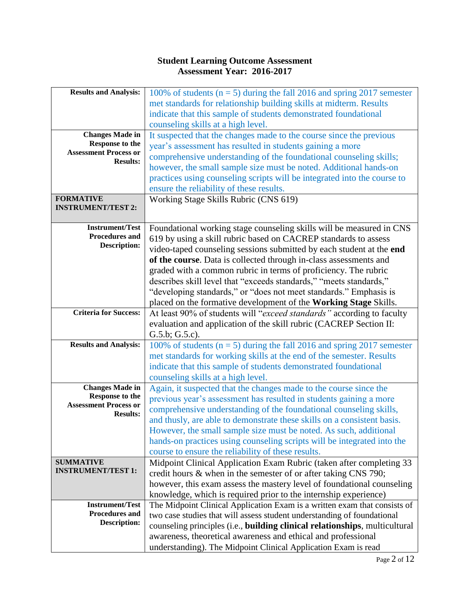| <b>Results and Analysis:</b> | 100% of students ( $n = 5$ ) during the fall 2016 and spring 2017 semester                                                                    |
|------------------------------|-----------------------------------------------------------------------------------------------------------------------------------------------|
|                              | met standards for relationship building skills at midterm. Results                                                                            |
|                              | indicate that this sample of students demonstrated foundational                                                                               |
|                              | counseling skills at a high level.                                                                                                            |
| <b>Changes Made in</b>       | It suspected that the changes made to the course since the previous                                                                           |
| Response to the              | year's assessment has resulted in students gaining a more                                                                                     |
| <b>Assessment Process or</b> | comprehensive understanding of the foundational counseling skills;                                                                            |
| <b>Results:</b>              | however, the small sample size must be noted. Additional hands-on                                                                             |
|                              | practices using counseling scripts will be integrated into the course to                                                                      |
|                              |                                                                                                                                               |
| <b>FORMATIVE</b>             | ensure the reliability of these results.                                                                                                      |
| <b>INSTRUMENT/TEST 2:</b>    | Working Stage Skills Rubric (CNS 619)                                                                                                         |
|                              |                                                                                                                                               |
| <b>Instrument/Test</b>       | Foundational working stage counseling skills will be measured in CNS                                                                          |
| <b>Procedures and</b>        | 619 by using a skill rubric based on CACREP standards to assess                                                                               |
| <b>Description:</b>          | video-taped counseling sessions submitted by each student at the end                                                                          |
|                              | of the course. Data is collected through in-class assessments and                                                                             |
|                              | graded with a common rubric in terms of proficiency. The rubric                                                                               |
|                              | describes skill level that "exceeds standards," "meets standards,"                                                                            |
|                              | "developing standards," or "does not meet standards." Emphasis is                                                                             |
|                              | placed on the formative development of the Working Stage Skills.                                                                              |
| <b>Criteria for Success:</b> | At least 90% of students will "exceed standards" according to faculty                                                                         |
|                              | evaluation and application of the skill rubric (CACREP Section II:                                                                            |
|                              | G.5.b; G.5.c.                                                                                                                                 |
| <b>Results and Analysis:</b> | 100% of students ( $n = 5$ ) during the fall 2016 and spring 2017 semester                                                                    |
|                              | met standards for working skills at the end of the semester. Results                                                                          |
|                              | indicate that this sample of students demonstrated foundational                                                                               |
|                              | counseling skills at a high level.                                                                                                            |
| <b>Changes Made in</b>       | Again, it suspected that the changes made to the course since the                                                                             |
| <b>Response to the</b>       | previous year's assessment has resulted in students gaining a more                                                                            |
| <b>Assessment Process or</b> | comprehensive understanding of the foundational counseling skills,                                                                            |
| <b>Results:</b>              | and thusly, are able to demonstrate these skills on a consistent basis.                                                                       |
|                              | However, the small sample size must be noted. As such, additional                                                                             |
|                              | hands-on practices using counseling scripts will be integrated into the                                                                       |
|                              | course to ensure the reliability of these results.                                                                                            |
| <b>SUMMATIVE</b>             | Midpoint Clinical Application Exam Rubric (taken after completing 33                                                                          |
| <b>INSTRUMENT/TEST 1:</b>    | credit hours & when in the semester of or after taking CNS 790;                                                                               |
|                              | however, this exam assess the mastery level of foundational counseling                                                                        |
|                              |                                                                                                                                               |
| <b>Instrument/Test</b>       | knowledge, which is required prior to the internship experience)<br>The Midpoint Clinical Application Exam is a written exam that consists of |
| <b>Procedures and</b>        | two case studies that will assess student understanding of foundational                                                                       |
| <b>Description:</b>          | counseling principles (i.e., building clinical relationships, multicultural                                                                   |
|                              |                                                                                                                                               |
|                              | awareness, theoretical awareness and ethical and professional                                                                                 |
|                              | understanding). The Midpoint Clinical Application Exam is read                                                                                |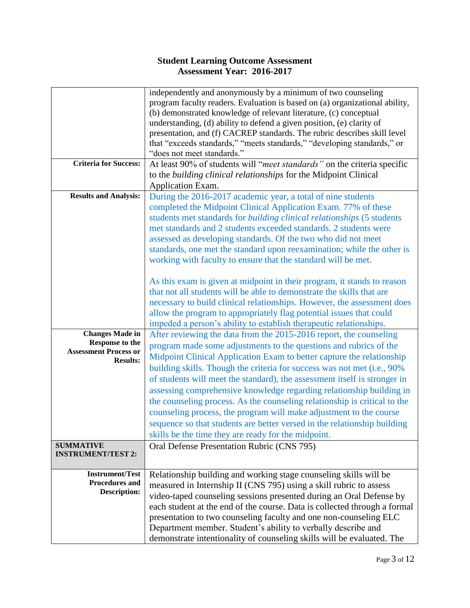|                                              | independently and anonymously by a minimum of two counseling                |
|----------------------------------------------|-----------------------------------------------------------------------------|
|                                              | program faculty readers. Evaluation is based on (a) organizational ability, |
|                                              | (b) demonstrated knowledge of relevant literature, (c) conceptual           |
|                                              | understanding, (d) ability to defend a given position, (e) clarity of       |
|                                              | presentation, and (f) CACREP standards. The rubric describes skill level    |
|                                              | that "exceeds standards," "meets standards," "developing standards," or     |
|                                              | "does not meet standards."                                                  |
| <b>Criteria for Success:</b>                 | At least 90% of students will "meet standards" on the criteria specific     |
|                                              | to the building clinical relationships for the Midpoint Clinical            |
|                                              | Application Exam.                                                           |
| <b>Results and Analysis:</b>                 | During the 2016-2017 academic year, a total of nine students                |
|                                              | completed the Midpoint Clinical Application Exam. 77% of these              |
|                                              | students met standards for building clinical relationships (5 students      |
|                                              | met standards and 2 students exceeded standards. 2 students were            |
|                                              | assessed as developing standards. Of the two who did not meet               |
|                                              | standards, one met the standard upon reexamination; while the other is      |
|                                              | working with faculty to ensure that the standard will be met.               |
|                                              |                                                                             |
|                                              | As this exam is given at midpoint in their program, it stands to reason     |
|                                              | that not all students will be able to demonstrate the skills that are       |
|                                              | necessary to build clinical relationships. However, the assessment does     |
|                                              | allow the program to appropriately flag potential issues that could         |
|                                              | impeded a person's ability to establish therapeutic relationships.          |
| <b>Changes Made in</b>                       | After reviewing the data from the 2015-2016 report, the counseling          |
| Response to the                              | program made some adjustments to the questions and rubrics of the           |
| <b>Assessment Process or</b>                 |                                                                             |
| <b>Results:</b>                              | Midpoint Clinical Application Exam to better capture the relationship       |
|                                              | building skills. Though the criteria for success was not met (i.e., 90%)    |
|                                              | of students will meet the standard), the assessment itself is stronger in   |
|                                              | assessing comprehensive knowledge regarding relationship building in        |
|                                              | the counseling process. As the counseling relationship is critical to the   |
|                                              | counseling process, the program will make adjustment to the course          |
|                                              | sequence so that students are better versed in the relationship building    |
|                                              | skills be the time they are ready for the midpoint.                         |
| <b>SUMMATIVE</b>                             | Oral Defense Presentation Rubric (CNS 795)                                  |
| <b>INSTRUMENT/TEST 2:</b>                    |                                                                             |
|                                              |                                                                             |
| <b>Instrument/Test</b>                       | Relationship building and working stage counseling skills will be           |
| <b>Procedures and</b><br><b>Description:</b> | measured in Internship II (CNS 795) using a skill rubric to assess          |
|                                              | video-taped counseling sessions presented during an Oral Defense by         |
|                                              | each student at the end of the course. Data is collected through a formal   |
|                                              | presentation to two counseling faculty and one non-counseling ELC           |
|                                              | Department member. Student's ability to verbally describe and               |
|                                              | demonstrate intentionality of counseling skills will be evaluated. The      |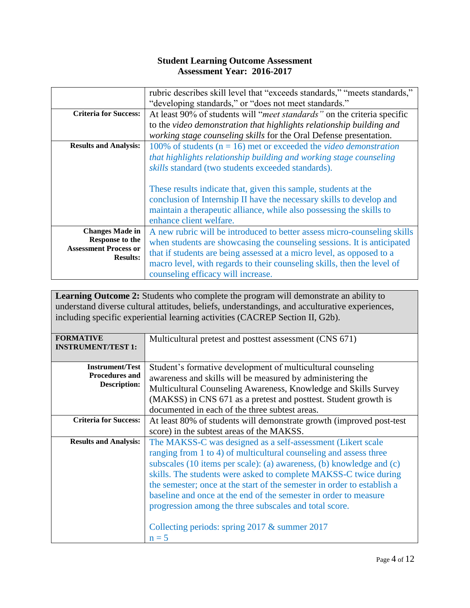|                              | rubric describes skill level that "exceeds standards," "meets standards,"    |
|------------------------------|------------------------------------------------------------------------------|
|                              | "developing standards," or "does not meet standards."                        |
| <b>Criteria for Success:</b> | At least 90% of students will "meet standards" on the criteria specific      |
|                              | to the video demonstration that highlights relationship building and         |
|                              | working stage counseling skills for the Oral Defense presentation.           |
| <b>Results and Analysis:</b> | 100% of students ( $n = 16$ ) met or exceeded the <i>video demonstration</i> |
|                              | that highlights relationship building and working stage counseling           |
|                              | skills standard (two students exceeded standards).                           |
|                              |                                                                              |
|                              | These results indicate that, given this sample, students at the              |
|                              | conclusion of Internship II have the necessary skills to develop and         |
|                              | maintain a therapeutic alliance, while also possessing the skills to         |
|                              | enhance client welfare.                                                      |
| <b>Changes Made in</b>       | A new rubric will be introduced to better assess micro-counseling skills     |
| <b>Response to the</b>       | when students are showcasing the counseling sessions. It is anticipated      |
| <b>Assessment Process or</b> | that if students are being assessed at a micro level, as opposed to a        |
| <b>Results:</b>              | macro level, with regards to their counseling skills, then the level of      |
|                              | counseling efficacy will increase.                                           |

Learning Outcome 2: Students who complete the program will demonstrate an ability to understand diverse cultural attitudes, beliefs, understandings, and acculturative experiences, including specific experiential learning activities (CACREP Section II, G2b).

| <b>FORMATIVE</b><br><b>INSTRUMENT/TEST 1:</b> | Multicultural pretest and posttest assessment (CNS 671)                 |
|-----------------------------------------------|-------------------------------------------------------------------------|
|                                               |                                                                         |
| <b>Instrument/Test</b>                        | Student's formative development of multicultural counseling             |
| <b>Procedures and</b><br><b>Description:</b>  | awareness and skills will be measured by administering the              |
|                                               | Multicultural Counseling Awareness, Knowledge and Skills Survey         |
|                                               | (MAKSS) in CNS 671 as a pretest and posttest. Student growth is         |
|                                               | documented in each of the three subtest areas.                          |
| <b>Criteria for Success:</b>                  | At least 80% of students will demonstrate growth (improved post-test    |
|                                               | score) in the subtest areas of the MAKSS.                               |
| <b>Results and Analysis:</b>                  | The MAKSS-C was designed as a self-assessment (Likert scale             |
|                                               | ranging from 1 to 4) of multicultural counseling and assess three       |
|                                               | subscales (10 items per scale): (a) awareness, (b) knowledge and (c)    |
|                                               | skills. The students were asked to complete MAKSS-C twice during        |
|                                               | the semester; once at the start of the semester in order to establish a |
|                                               | baseline and once at the end of the semester in order to measure        |
|                                               | progression among the three subscales and total score.                  |
|                                               |                                                                         |
|                                               | Collecting periods: spring $2017 \&$ summer $2017$                      |
|                                               | $n = 5$                                                                 |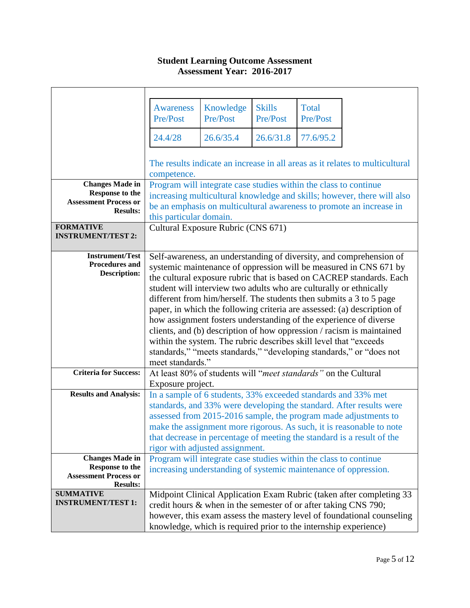#### **Awareness** Pre/Post Knowledge Pre/Post Skills Pre/Post Total Pre/Post 24.4/28 26.6/35.4 26.6/31.8 77.6/95.2 The results indicate an increase in all areas as it relates to multicultural competence. **Changes Made in Response to the Assessment Process or Results:** Program will integrate case studies within the class to continue increasing multicultural knowledge and skills; however, there will also be an emphasis on multicultural awareness to promote an increase in this particular domain. **FORMATIVE INSTRUMENT/TEST 2:** Cultural Exposure Rubric (CNS 671) **Instrument/Test Procedures and Description:** Self-awareness, an understanding of diversity, and comprehension of systemic maintenance of oppression will be measured in CNS 671 by the cultural exposure rubric that is based on CACREP standards. Each student will interview two adults who are culturally or ethnically different from him/herself. The students then submits a 3 to 5 page paper, in which the following criteria are assessed: (a) description of how assignment fosters understanding of the experience of diverse within the system. The rubric describes skill level that "exceeds

|                              | how assignment fosters understanding of the experience of diverse      |
|------------------------------|------------------------------------------------------------------------|
|                              | clients, and (b) description of how oppression / racism is maintained  |
|                              | within the system. The rubric describes skill level that "exceeds"     |
|                              | standards," "meets standards," "developing standards," or "does not    |
|                              | meet standards."                                                       |
| <b>Criteria for Success:</b> | At least 80% of students will "meet standards" on the Cultural         |
|                              | Exposure project.                                                      |
| <b>Results and Analysis:</b> | In a sample of 6 students, 33% exceeded standards and 33% met          |
|                              | standards, and 33% were developing the standard. After results were    |
|                              | assessed from 2015-2016 sample, the program made adjustments to        |
|                              | make the assignment more rigorous. As such, it is reasonable to note   |
|                              | that decrease in percentage of meeting the standard is a result of the |
|                              | rigor with adjusted assignment.                                        |
| <b>Changes Made in</b>       | Program will integrate case studies within the class to continue       |
| Response to the              | increasing understanding of systemic maintenance of oppression.        |
| <b>Assessment Process or</b> |                                                                        |
| <b>Results:</b>              |                                                                        |
| <b>SUMMATIVE</b>             | Midpoint Clinical Application Exam Rubric (taken after completing 33   |
| <b>INSTRUMENT/TEST 1:</b>    | credit hours $\&$ when in the semester of or after taking CNS 790;     |
|                              | however, this exam assess the mastery level of foundational counseling |
|                              | knowledge, which is required prior to the internship experience)       |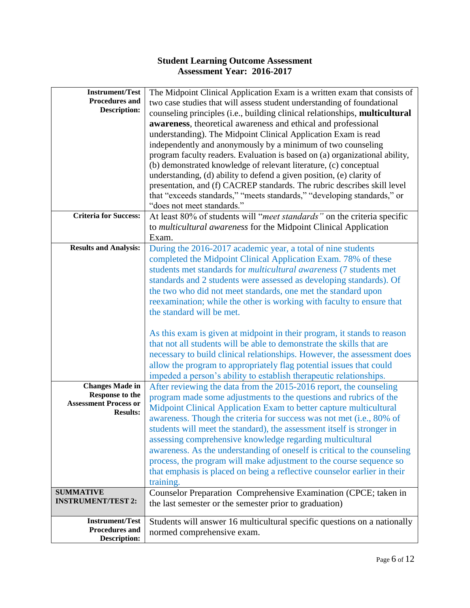| <b>Instrument/Test</b><br><b>Procedures and</b><br><b>Description:</b> | The Midpoint Clinical Application Exam is a written exam that consists of<br>two case studies that will assess student understanding of foundational<br>counseling principles (i.e., building clinical relationships, multicultural<br>awareness, theoretical awareness and ethical and professional<br>understanding). The Midpoint Clinical Application Exam is read<br>independently and anonymously by a minimum of two counseling<br>program faculty readers. Evaluation is based on (a) organizational ability,<br>(b) demonstrated knowledge of relevant literature, (c) conceptual<br>understanding, (d) ability to defend a given position, (e) clarity of<br>presentation, and (f) CACREP standards. The rubric describes skill level<br>that "exceeds standards," "meets standards," "developing standards," or<br>"does not meet standards." |
|------------------------------------------------------------------------|----------------------------------------------------------------------------------------------------------------------------------------------------------------------------------------------------------------------------------------------------------------------------------------------------------------------------------------------------------------------------------------------------------------------------------------------------------------------------------------------------------------------------------------------------------------------------------------------------------------------------------------------------------------------------------------------------------------------------------------------------------------------------------------------------------------------------------------------------------|
| <b>Criteria for Success:</b>                                           | At least 80% of students will "meet standards" on the criteria specific                                                                                                                                                                                                                                                                                                                                                                                                                                                                                                                                                                                                                                                                                                                                                                                  |
|                                                                        | to multicultural awareness for the Midpoint Clinical Application<br>Exam.                                                                                                                                                                                                                                                                                                                                                                                                                                                                                                                                                                                                                                                                                                                                                                                |
| <b>Results and Analysis:</b>                                           | During the 2016-2017 academic year, a total of nine students<br>completed the Midpoint Clinical Application Exam. 78% of these<br>students met standards for <i>multicultural awareness</i> (7 students met<br>standards and 2 students were assessed as developing standards). Of<br>the two who did not meet standards, one met the standard upon<br>reexamination; while the other is working with faculty to ensure that<br>the standard will be met.<br>As this exam is given at midpoint in their program, it stands to reason                                                                                                                                                                                                                                                                                                                     |
|                                                                        | that not all students will be able to demonstrate the skills that are<br>necessary to build clinical relationships. However, the assessment does<br>allow the program to appropriately flag potential issues that could<br>impeded a person's ability to establish therapeutic relationships.                                                                                                                                                                                                                                                                                                                                                                                                                                                                                                                                                            |
| <b>Changes Made in</b>                                                 | After reviewing the data from the 2015-2016 report, the counseling                                                                                                                                                                                                                                                                                                                                                                                                                                                                                                                                                                                                                                                                                                                                                                                       |
| Response to the<br><b>Assessment Process or</b><br><b>Results:</b>     | program made some adjustments to the questions and rubrics of the<br>Midpoint Clinical Application Exam to better capture multicultural<br>awareness. Though the criteria for success was not met (i.e., 80% of<br>students will meet the standard), the assessment itself is stronger in<br>assessing comprehensive knowledge regarding multicultural<br>awareness. As the understanding of oneself is critical to the counseling<br>process, the program will make adjustment to the course sequence so<br>that emphasis is placed on being a reflective counselor earlier in their<br>training.                                                                                                                                                                                                                                                       |
| <b>SUMMATIVE</b><br><b>INSTRUMENT/TEST 2:</b>                          | Counselor Preparation Comprehensive Examination (CPCE; taken in<br>the last semester or the semester prior to graduation)                                                                                                                                                                                                                                                                                                                                                                                                                                                                                                                                                                                                                                                                                                                                |
| <b>Instrument/Test</b>                                                 |                                                                                                                                                                                                                                                                                                                                                                                                                                                                                                                                                                                                                                                                                                                                                                                                                                                          |
| <b>Procedures and</b><br><b>Description:</b>                           | Students will answer 16 multicultural specific questions on a nationally<br>normed comprehensive exam.                                                                                                                                                                                                                                                                                                                                                                                                                                                                                                                                                                                                                                                                                                                                                   |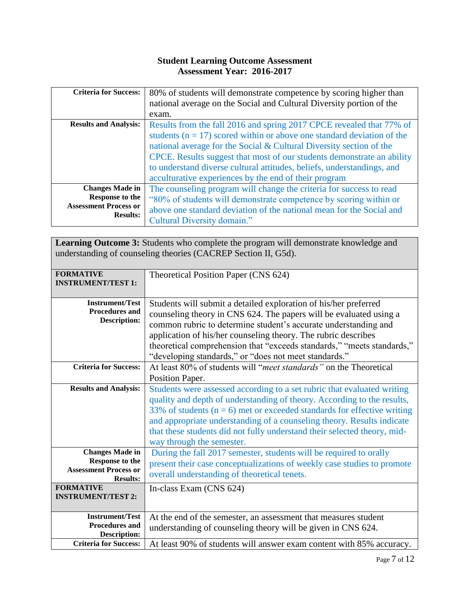| <b>Criteria for Success:</b>                    | 80% of students will demonstrate competence by scoring higher than<br>national average on the Social and Cultural Diversity portion of the |
|-------------------------------------------------|--------------------------------------------------------------------------------------------------------------------------------------------|
|                                                 | exam.                                                                                                                                      |
| <b>Results and Analysis:</b>                    | Results from the fall 2016 and spring 2017 CPCE revealed that 77% of                                                                       |
|                                                 | students ( $n = 17$ ) scored within or above one standard deviation of the                                                                 |
|                                                 | national average for the Social & Cultural Diversity section of the                                                                        |
|                                                 | CPCE. Results suggest that most of our students demonstrate an ability                                                                     |
|                                                 | to understand diverse cultural attitudes, beliefs, understandings, and<br>acculturative experiences by the end of their program            |
| <b>Changes Made in</b>                          |                                                                                                                                            |
|                                                 | The counseling program will change the criteria for success to read                                                                        |
| <b>Response to the</b>                          | "80% of students will demonstrate competence by scoring within or                                                                          |
| <b>Assessment Process or</b><br><b>Results:</b> | above one standard deviation of the national mean for the Social and                                                                       |
|                                                 | Cultural Diversity domain."                                                                                                                |

**Learning Outcome 3:** Students who complete the program will demonstrate knowledge and understanding of counseling theories (CACREP Section II, G5d).

| <b>FORMATIVE</b>                              | Theoretical Position Paper (CNS 624)                                        |
|-----------------------------------------------|-----------------------------------------------------------------------------|
| <b>INSTRUMENT/TEST 1:</b>                     |                                                                             |
|                                               |                                                                             |
| <b>Instrument/Test</b>                        | Students will submit a detailed exploration of his/her preferred            |
| <b>Procedures and</b>                         | counseling theory in CNS 624. The papers will be evaluated using a          |
| <b>Description:</b>                           | common rubric to determine student's accurate understanding and             |
|                                               |                                                                             |
|                                               | application of his/her counseling theory. The rubric describes              |
|                                               | theoretical comprehension that "exceeds standards," "meets standards,"      |
|                                               | "developing standards," or "does not meet standards."                       |
| <b>Criteria for Success:</b>                  | At least 80% of students will "meet standards" on the Theoretical           |
|                                               | Position Paper.                                                             |
| <b>Results and Analysis:</b>                  | Students were assessed according to a set rubric that evaluated writing     |
|                                               | quality and depth of understanding of theory. According to the results,     |
|                                               | 33% of students ( $n = 6$ ) met or exceeded standards for effective writing |
|                                               |                                                                             |
|                                               | and appropriate understanding of a counseling theory. Results indicate      |
|                                               | that these students did not fully understand their selected theory, mid-    |
|                                               | way through the semester.                                                   |
| <b>Changes Made in</b>                        | During the fall 2017 semester, students will be required to orally          |
| Response to the                               | present their case conceptualizations of weekly case studies to promote     |
| <b>Assessment Process or</b>                  | overall understanding of theoretical tenets.                                |
| <b>Results:</b>                               |                                                                             |
| <b>FORMATIVE</b><br><b>INSTRUMENT/TEST 2:</b> | In-class Exam (CNS 624)                                                     |
|                                               |                                                                             |
| <b>Instrument/Test</b>                        |                                                                             |
| <b>Procedures and</b>                         | At the end of the semester, an assessment that measures student             |
| <b>Description:</b>                           | understanding of counseling theory will be given in CNS 624.                |
| <b>Criteria for Success:</b>                  | At least 90% of students will answer exam content with 85% accuracy.        |
|                                               |                                                                             |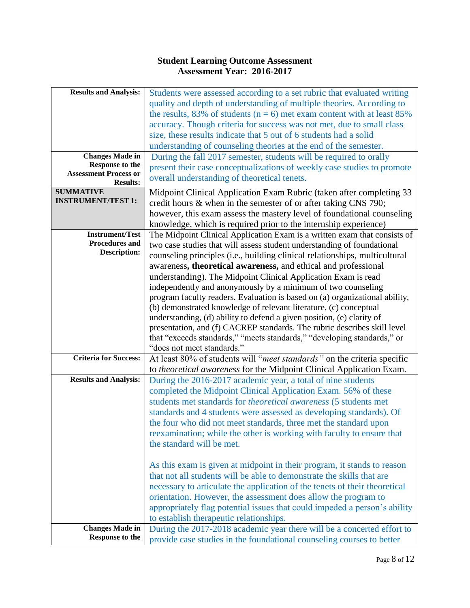| <b>Results and Analysis:</b><br><b>Changes Made in</b><br><b>Response to the</b><br><b>Assessment Process or</b><br><b>Results:</b> | Students were assessed according to a set rubric that evaluated writing<br>quality and depth of understanding of multiple theories. According to<br>the results, 83% of students ( $n = 6$ ) met exam content with at least 85%<br>accuracy. Though criteria for success was not met, due to small class<br>size, these results indicate that 5 out of 6 students had a solid<br>understanding of counseling theories at the end of the semester.<br>During the fall 2017 semester, students will be required to orally<br>present their case conceptualizations of weekly case studies to promote<br>overall understanding of theoretical tenets.                                                                                                                                                                                                        |
|-------------------------------------------------------------------------------------------------------------------------------------|-----------------------------------------------------------------------------------------------------------------------------------------------------------------------------------------------------------------------------------------------------------------------------------------------------------------------------------------------------------------------------------------------------------------------------------------------------------------------------------------------------------------------------------------------------------------------------------------------------------------------------------------------------------------------------------------------------------------------------------------------------------------------------------------------------------------------------------------------------------|
| <b>SUMMATIVE</b><br><b>INSTRUMENT/TEST 1:</b>                                                                                       | Midpoint Clinical Application Exam Rubric (taken after completing 33<br>credit hours & when in the semester of or after taking CNS 790;<br>however, this exam assess the mastery level of foundational counseling<br>knowledge, which is required prior to the internship experience)                                                                                                                                                                                                                                                                                                                                                                                                                                                                                                                                                                     |
| <b>Instrument/Test</b><br><b>Procedures and</b><br><b>Description:</b>                                                              | The Midpoint Clinical Application Exam is a written exam that consists of<br>two case studies that will assess student understanding of foundational<br>counseling principles (i.e., building clinical relationships, multicultural<br>awareness, theoretical awareness, and ethical and professional<br>understanding). The Midpoint Clinical Application Exam is read<br>independently and anonymously by a minimum of two counseling<br>program faculty readers. Evaluation is based on (a) organizational ability,<br>(b) demonstrated knowledge of relevant literature, (c) conceptual<br>understanding, (d) ability to defend a given position, (e) clarity of<br>presentation, and (f) CACREP standards. The rubric describes skill level<br>that "exceeds standards," "meets standards," "developing standards," or<br>"does not meet standards." |
| <b>Criteria for Success:</b>                                                                                                        | At least 80% of students will "meet standards" on the criteria specific<br>to <i>theoretical awareness</i> for the Midpoint Clinical Application Exam.                                                                                                                                                                                                                                                                                                                                                                                                                                                                                                                                                                                                                                                                                                    |
| <b>Results and Analysis:</b>                                                                                                        | During the 2016-2017 academic year, a total of nine students<br>completed the Midpoint Clinical Application Exam. 56% of these<br>students met standards for theoretical awareness (5 students met<br>standards and 4 students were assessed as developing standards). Of<br>the four who did not meet standards, three met the standard upon<br>reexamination; while the other is working with faculty to ensure that<br>the standard will be met.                                                                                                                                                                                                                                                                                                                                                                                                       |
|                                                                                                                                     | As this exam is given at midpoint in their program, it stands to reason<br>that not all students will be able to demonstrate the skills that are<br>necessary to articulate the application of the tenets of their theoretical<br>orientation. However, the assessment does allow the program to<br>appropriately flag potential issues that could impeded a person's ability<br>to establish therapeutic relationships.                                                                                                                                                                                                                                                                                                                                                                                                                                  |
| <b>Changes Made in</b><br><b>Response to the</b>                                                                                    | During the 2017-2018 academic year there will be a concerted effort to<br>provide case studies in the foundational counseling courses to better                                                                                                                                                                                                                                                                                                                                                                                                                                                                                                                                                                                                                                                                                                           |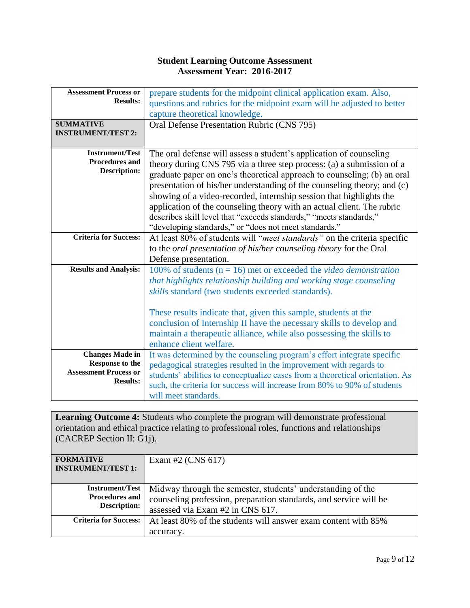| <b>Assessment Process or</b> | prepare students for the midpoint clinical application exam. Also,            |
|------------------------------|-------------------------------------------------------------------------------|
| <b>Results:</b>              | questions and rubrics for the midpoint exam will be adjusted to better        |
|                              |                                                                               |
|                              | capture theoretical knowledge.                                                |
| <b>SUMMATIVE</b>             | Oral Defense Presentation Rubric (CNS 795)                                    |
| <b>INSTRUMENT/TEST 2:</b>    |                                                                               |
|                              |                                                                               |
| <b>Instrument/Test</b>       | The oral defense will assess a student's application of counseling            |
| <b>Procedures and</b>        | theory during CNS 795 via a three step process: (a) a submission of a         |
| <b>Description:</b>          |                                                                               |
|                              | graduate paper on one's theoretical approach to counseling; (b) an oral       |
|                              | presentation of his/her understanding of the counseling theory; and (c)       |
|                              | showing of a video-recorded, internship session that highlights the           |
|                              | application of the counseling theory with an actual client. The rubric        |
|                              |                                                                               |
|                              | describes skill level that "exceeds standards," "meets standards,"            |
|                              | "developing standards," or "does not meet standards."                         |
| <b>Criteria for Success:</b> | At least 80% of students will "meet standards" on the criteria specific       |
|                              | to the oral presentation of his/her counseling theory for the Oral            |
|                              | Defense presentation.                                                         |
| <b>Results and Analysis:</b> | 100% of students ( $n = 16$ ) met or exceeded the <i>video demonstration</i>  |
|                              |                                                                               |
|                              | that highlights relationship building and working stage counseling            |
|                              | skills standard (two students exceeded standards).                            |
|                              |                                                                               |
|                              | These results indicate that, given this sample, students at the               |
|                              | conclusion of Internship II have the necessary skills to develop and          |
|                              | maintain a therapeutic alliance, while also possessing the skills to          |
|                              | enhance client welfare.                                                       |
|                              |                                                                               |
| <b>Changes Made in</b>       | It was determined by the counseling program's effort integrate specific       |
| Response to the              | pedagogical strategies resulted in the improvement with regards to            |
| <b>Assessment Process or</b> | students' abilities to conceptualize cases from a theoretical orientation. As |
| <b>Results:</b>              | such, the criteria for success will increase from 80% to 90% of students      |
|                              |                                                                               |
|                              | will meet standards.                                                          |

**Learning Outcome 4:** Students who complete the program will demonstrate professional orientation and ethical practice relating to professional roles, functions and relationships (CACREP Section II: G1j).

| <b>FORMATIVE</b><br><b>INSTRUMENT/TEST 1:</b>                          | Exam#2 (CNS $617$ )                                                                                                                                                  |
|------------------------------------------------------------------------|----------------------------------------------------------------------------------------------------------------------------------------------------------------------|
| <b>Instrument/Test</b><br><b>Procedures and</b><br><b>Description:</b> | Midway through the semester, students' understanding of the<br>counseling profession, preparation standards, and service will be<br>assessed via Exam #2 in CNS 617. |
| <b>Criteria for Success:</b>                                           | At least 80% of the students will answer exam content with 85%<br>accuracy.                                                                                          |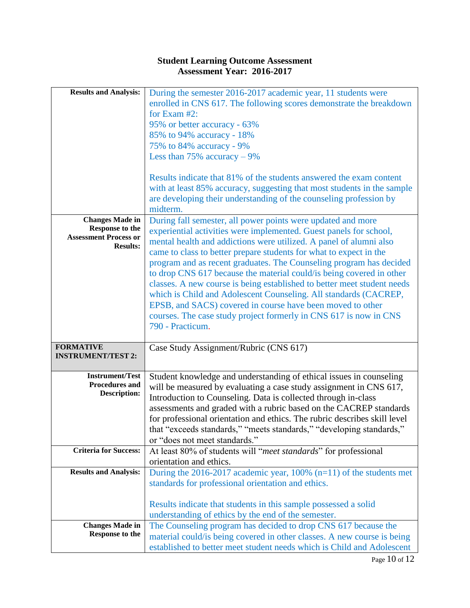| <b>Results and Analysis:</b>                                                                        | During the semester 2016-2017 academic year, 11 students were<br>enrolled in CNS 617. The following scores demonstrate the breakdown<br>for Exam #2:<br>95% or better accuracy - 63%<br>85% to 94% accuracy - 18%<br>75% to 84% accuracy - 9%<br>Less than $75%$ accuracy $-9%$<br>Results indicate that 81% of the students answered the exam content<br>with at least 85% accuracy, suggesting that most students in the sample<br>are developing their understanding of the counseling profession by<br>midterm.                                                                                                                                                                                                                 |
|-----------------------------------------------------------------------------------------------------|-------------------------------------------------------------------------------------------------------------------------------------------------------------------------------------------------------------------------------------------------------------------------------------------------------------------------------------------------------------------------------------------------------------------------------------------------------------------------------------------------------------------------------------------------------------------------------------------------------------------------------------------------------------------------------------------------------------------------------------|
| <b>Changes Made in</b><br><b>Response to the</b><br><b>Assessment Process or</b><br><b>Results:</b> | During fall semester, all power points were updated and more<br>experiential activities were implemented. Guest panels for school,<br>mental health and addictions were utilized. A panel of alumni also<br>came to class to better prepare students for what to expect in the<br>program and as recent graduates. The Counseling program has decided<br>to drop CNS 617 because the material could/is being covered in other<br>classes. A new course is being established to better meet student needs<br>which is Child and Adolescent Counseling. All standards (CACREP,<br>EPSB, and SACS) covered in course have been moved to other<br>courses. The case study project formerly in CNS 617 is now in CNS<br>790 - Practicum. |
| <b>FORMATIVE</b><br><b>INSTRUMENT/TEST 2:</b>                                                       | Case Study Assignment/Rubric (CNS 617)                                                                                                                                                                                                                                                                                                                                                                                                                                                                                                                                                                                                                                                                                              |
| <b>Instrument/Test</b>                                                                              | Student knowledge and understanding of ethical issues in counseling                                                                                                                                                                                                                                                                                                                                                                                                                                                                                                                                                                                                                                                                 |
| <b>Procedures and</b>                                                                               | will be measured by evaluating a case study assignment in CNS 617,                                                                                                                                                                                                                                                                                                                                                                                                                                                                                                                                                                                                                                                                  |
| <b>Description:</b>                                                                                 | Introduction to Counseling. Data is collected through in-class                                                                                                                                                                                                                                                                                                                                                                                                                                                                                                                                                                                                                                                                      |
|                                                                                                     | assessments and graded with a rubric based on the CACREP standards                                                                                                                                                                                                                                                                                                                                                                                                                                                                                                                                                                                                                                                                  |
|                                                                                                     | for professional orientation and ethics. The rubric describes skill level                                                                                                                                                                                                                                                                                                                                                                                                                                                                                                                                                                                                                                                           |
|                                                                                                     | that "exceeds standards," "meets standards," "developing standards,"<br>or "does not meet standards."                                                                                                                                                                                                                                                                                                                                                                                                                                                                                                                                                                                                                               |
| <b>Criteria for Success:</b>                                                                        | At least 80% of students will "meet standards" for professional                                                                                                                                                                                                                                                                                                                                                                                                                                                                                                                                                                                                                                                                     |
|                                                                                                     | orientation and ethics.                                                                                                                                                                                                                                                                                                                                                                                                                                                                                                                                                                                                                                                                                                             |
| <b>Results and Analysis:</b>                                                                        | During the 2016-2017 academic year, $100\%$ (n=11) of the students met                                                                                                                                                                                                                                                                                                                                                                                                                                                                                                                                                                                                                                                              |
|                                                                                                     | standards for professional orientation and ethics.                                                                                                                                                                                                                                                                                                                                                                                                                                                                                                                                                                                                                                                                                  |
|                                                                                                     |                                                                                                                                                                                                                                                                                                                                                                                                                                                                                                                                                                                                                                                                                                                                     |
|                                                                                                     | Results indicate that students in this sample possessed a solid                                                                                                                                                                                                                                                                                                                                                                                                                                                                                                                                                                                                                                                                     |
|                                                                                                     | understanding of ethics by the end of the semester.                                                                                                                                                                                                                                                                                                                                                                                                                                                                                                                                                                                                                                                                                 |
| <b>Changes Made in</b>                                                                              | The Counseling program has decided to drop CNS 617 because the                                                                                                                                                                                                                                                                                                                                                                                                                                                                                                                                                                                                                                                                      |
| <b>Response to the</b>                                                                              | material could/is being covered in other classes. A new course is being<br>established to better meet student needs which is Child and Adolescent                                                                                                                                                                                                                                                                                                                                                                                                                                                                                                                                                                                   |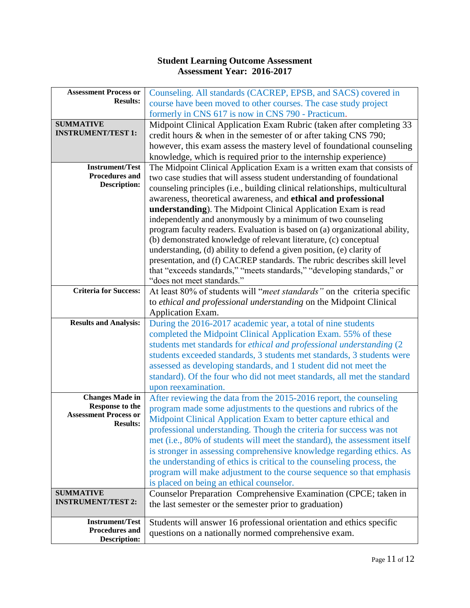| <b>Assessment Process or</b>                    | Counseling. All standards (CACREP, EPSB, and SACS) covered in               |
|-------------------------------------------------|-----------------------------------------------------------------------------|
| <b>Results:</b>                                 | course have been moved to other courses. The case study project             |
|                                                 | formerly in CNS 617 is now in CNS 790 - Practicum.                          |
| <b>SUMMATIVE</b>                                | Midpoint Clinical Application Exam Rubric (taken after completing 33        |
| <b>INSTRUMENT/TEST 1:</b>                       | credit hours $\&$ when in the semester of or after taking CNS 790;          |
|                                                 | however, this exam assess the mastery level of foundational counseling      |
|                                                 | knowledge, which is required prior to the internship experience)            |
| <b>Instrument/Test</b>                          | The Midpoint Clinical Application Exam is a written exam that consists of   |
| <b>Procedures and</b>                           | two case studies that will assess student understanding of foundational     |
| <b>Description:</b>                             | counseling principles (i.e., building clinical relationships, multicultural |
|                                                 | awareness, theoretical awareness, and ethical and professional              |
|                                                 | <b>understanding</b> ). The Midpoint Clinical Application Exam is read      |
|                                                 | independently and anonymously by a minimum of two counseling                |
|                                                 | program faculty readers. Evaluation is based on (a) organizational ability, |
|                                                 | (b) demonstrated knowledge of relevant literature, (c) conceptual           |
|                                                 | understanding, (d) ability to defend a given position, (e) clarity of       |
|                                                 | presentation, and (f) CACREP standards. The rubric describes skill level    |
|                                                 | that "exceeds standards," "meets standards," "developing standards," or     |
|                                                 | "does not meet standards."                                                  |
| <b>Criteria for Success:</b>                    | At least 80% of students will "meet standards" on the criteria specific     |
|                                                 | to ethical and professional understanding on the Midpoint Clinical          |
|                                                 | Application Exam.                                                           |
| <b>Results and Analysis:</b>                    | During the 2016-2017 academic year, a total of nine students                |
|                                                 | completed the Midpoint Clinical Application Exam. 55% of these              |
|                                                 | students met standards for ethical and professional understanding (2        |
|                                                 | students exceeded standards, 3 students met standards, 3 students were      |
|                                                 | assessed as developing standards, and 1 student did not meet the            |
|                                                 | standard). Of the four who did not meet standards, all met the standard     |
|                                                 | upon reexamination.                                                         |
| <b>Changes Made in</b>                          | After reviewing the data from the 2015-2016 report, the counseling          |
| Response to the<br><b>Assessment Process or</b> | program made some adjustments to the questions and rubrics of the           |
| <b>Results:</b>                                 | Midpoint Clinical Application Exam to better capture ethical and            |
|                                                 | professional understanding. Though the criteria for success was not         |
|                                                 | met (i.e., 80% of students will meet the standard), the assessment itself   |
|                                                 | is stronger in assessing comprehensive knowledge regarding ethics. As       |
|                                                 | the understanding of ethics is critical to the counseling process, the      |
|                                                 | program will make adjustment to the course sequence so that emphasis        |
|                                                 | is placed on being an ethical counselor.                                    |
| <b>SUMMATIVE</b><br><b>INSTRUMENT/TEST 2:</b>   | Counselor Preparation Comprehensive Examination (CPCE; taken in             |
|                                                 | the last semester or the semester prior to graduation)                      |
| <b>Instrument/Test</b>                          | Students will answer 16 professional orientation and ethics specific        |
| <b>Procedures and</b>                           | questions on a nationally normed comprehensive exam.                        |
| <b>Description:</b>                             |                                                                             |